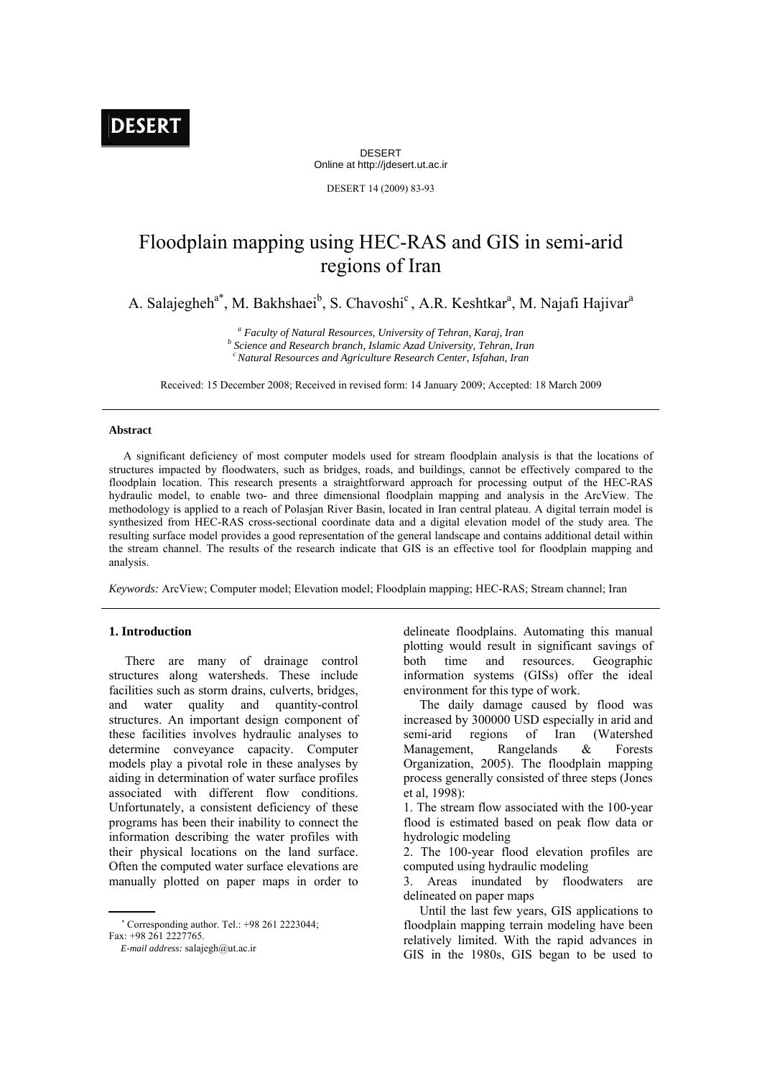DESERT Online at http://jdesert.ut.ac.ir

DESERT 14 (2009) 83-93

# Floodplain mapping using HEC-RAS and GIS in semi-arid regions of Iran

A. Salajegheh<sup>a\*</sup>, M. Bakhshaei<sup>b</sup>, S. Chavoshi<sup>c</sup>, A.R. Keshtkar<sup>a</sup>, M. Najafi Hajivar<sup>a</sup>

<sup>*a*</sup> *Faculty of Natural Resources, University of Tehran, Karaj, Iran b* Science and Bessensh branch Islamic Angl University Tehran In  *Science and Research branch, Islamic Azad University, Tehran, Iran c Natural Resources and Agriculture Research Center, Isfahan, Iran* 

Received: 15 December 2008; Received in revised form: 14 January 2009; Accepted: 18 March 2009

#### **Abstract**

A significant deficiency of most computer models used for stream floodplain analysis is that the locations of structures impacted by floodwaters, such as bridges, roads, and buildings, cannot be effectively compared to the floodplain location. This research presents a straightforward approach for processing output of the HEC-RAS hydraulic model, to enable two- and three dimensional floodplain mapping and analysis in the ArcView. The methodology is applied to a reach of Polasjan River Basin, located in Iran central plateau. A digital terrain model is synthesized from HEC-RAS cross-sectional coordinate data and a digital elevation model of the study area. The resulting surface model provides a good representation of the general landscape and contains additional detail within the stream channel. The results of the research indicate that GIS is an effective tool for floodplain mapping and analysis.

*Keywords:* ArcView; Computer model; Elevation model; Floodplain mapping; HEC-RAS; Stream channel; Iran

#### **1. Introduction**

 There are many of drainage control structures along watersheds. These include facilities such as storm drains, culverts, bridges, and water quality and quantity-control structures. An important design component of these facilities involves hydraulic analyses to determine conveyance capacity. Computer models play a pivotal role in these analyses by aiding in determination of water surface profiles associated with different flow conditions. Unfortunately, a consistent deficiency of these programs has been their inability to connect the information describing the water profiles with their physical locations on the land surface. Often the computed water surface elevations are manually plotted on paper maps in order to

 Corresponding author. Tel.: +98 261 2223044; Fax: +98 261 2227765.

 *E-mail address:* salajegh@ut.ac.ir

delineate floodplains. Automating this manual plotting would result in significant savings of both time and resources. Geographic information systems (GISs) offer the ideal environment for this type of work.

 The daily damage caused by flood was increased by 300000 USD especially in arid and semi-arid regions of Iran (Watershed Management, Rangelands & Forests Organization, 2005). The floodplain mapping process generally consisted of three steps (Jones et al, 1998):

1. The stream flow associated with the 100-year flood is estimated based on peak flow data or hydrologic modeling

2. The 100-year flood elevation profiles are computed using hydraulic modeling

3. Areas inundated by floodwaters are delineated on paper maps

 Until the last few years, GIS applications to floodplain mapping terrain modeling have been relatively limited. With the rapid advances in GIS in the 1980s, GIS began to be used to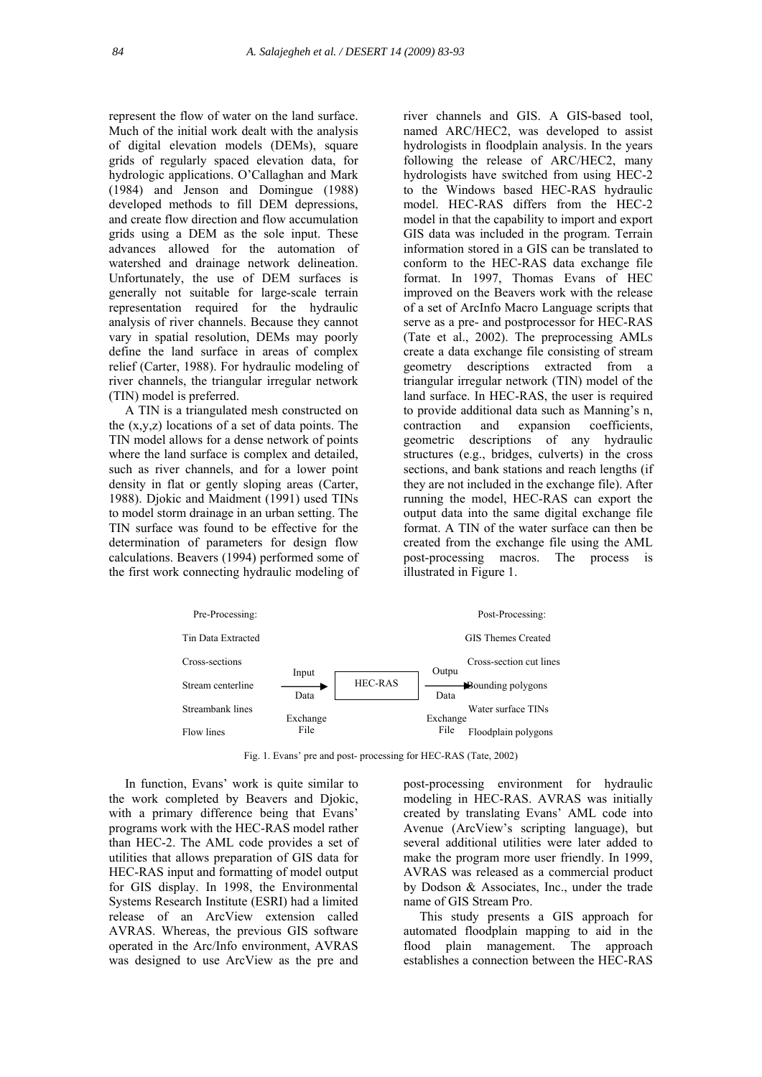represent the flow of water on the land surface. Much of the initial work dealt with the analysis of digital elevation models (DEMs), square grids of regularly spaced elevation data, for hydrologic applications. O'Callaghan and Mark (1984) and Jenson and Domingue (1988) developed methods to fill DEM depressions, and create flow direction and flow accumulation grids using a DEM as the sole input. These advances allowed for the automation of watershed and drainage network delineation. Unfortunately, the use of DEM surfaces is generally not suitable for large-scale terrain representation required for the hydraulic analysis of river channels. Because they cannot vary in spatial resolution, DEMs may poorly define the land surface in areas of complex relief (Carter, 1988). For hydraulic modeling of river channels, the triangular irregular network (TIN) model is preferred.

 A TIN is a triangulated mesh constructed on the (x,y,z) locations of a set of data points. The TIN model allows for a dense network of points where the land surface is complex and detailed, such as river channels, and for a lower point density in flat or gently sloping areas (Carter, 1988). Djokic and Maidment (1991) used TINs to model storm drainage in an urban setting. The TIN surface was found to be effective for the determination of parameters for design flow calculations. Beavers (1994) performed some of the first work connecting hydraulic modeling of

river channels and GIS. A GIS-based tool, named ARC/HEC2, was developed to assist hydrologists in floodplain analysis. In the years following the release of ARC/HEC2, many hydrologists have switched from using HEC-2 to the Windows based HEC-RAS hydraulic model. HEC-RAS differs from the HEC-2 model in that the capability to import and export GIS data was included in the program. Terrain information stored in a GIS can be translated to conform to the HEC-RAS data exchange file format. In 1997, Thomas Evans of HEC improved on the Beavers work with the release of a set of ArcInfo Macro Language scripts that serve as a pre- and postprocessor for HEC-RAS (Tate et al., 2002). The preprocessing AMLs create a data exchange file consisting of stream geometry descriptions extracted from a triangular irregular network (TIN) model of the land surface. In HEC-RAS, the user is required to provide additional data such as Manning's n, contraction and expansion coefficients, geometric descriptions of any hydraulic structures (e.g., bridges, culverts) in the cross sections, and bank stations and reach lengths (if they are not included in the exchange file). After running the model, HEC-RAS can export the output data into the same digital exchange file format. A TIN of the water surface can then be created from the exchange file using the AML post-processing macros. The process is illustrated in Figure 1.



Fig. 1. Evans' pre and post- processing for HEC-RAS (Tate, 2002)

 In function, Evans' work is quite similar to the work completed by Beavers and Djokic, with a primary difference being that Evans' programs work with the HEC-RAS model rather than HEC-2. The AML code provides a set of utilities that allows preparation of GIS data for HEC-RAS input and formatting of model output for GIS display. In 1998, the Environmental Systems Research Institute (ESRI) had a limited release of an ArcView extension called AVRAS. Whereas, the previous GIS software operated in the Arc/Info environment, AVRAS was designed to use ArcView as the pre and post-processing environment for hydraulic modeling in HEC-RAS. AVRAS was initially created by translating Evans' AML code into Avenue (ArcView's scripting language), but several additional utilities were later added to make the program more user friendly. In 1999, AVRAS was released as a commercial product by Dodson & Associates, Inc., under the trade name of GIS Stream Pro.

 This study presents a GIS approach for automated floodplain mapping to aid in the flood plain management. The approach establishes a connection between the HEC-RAS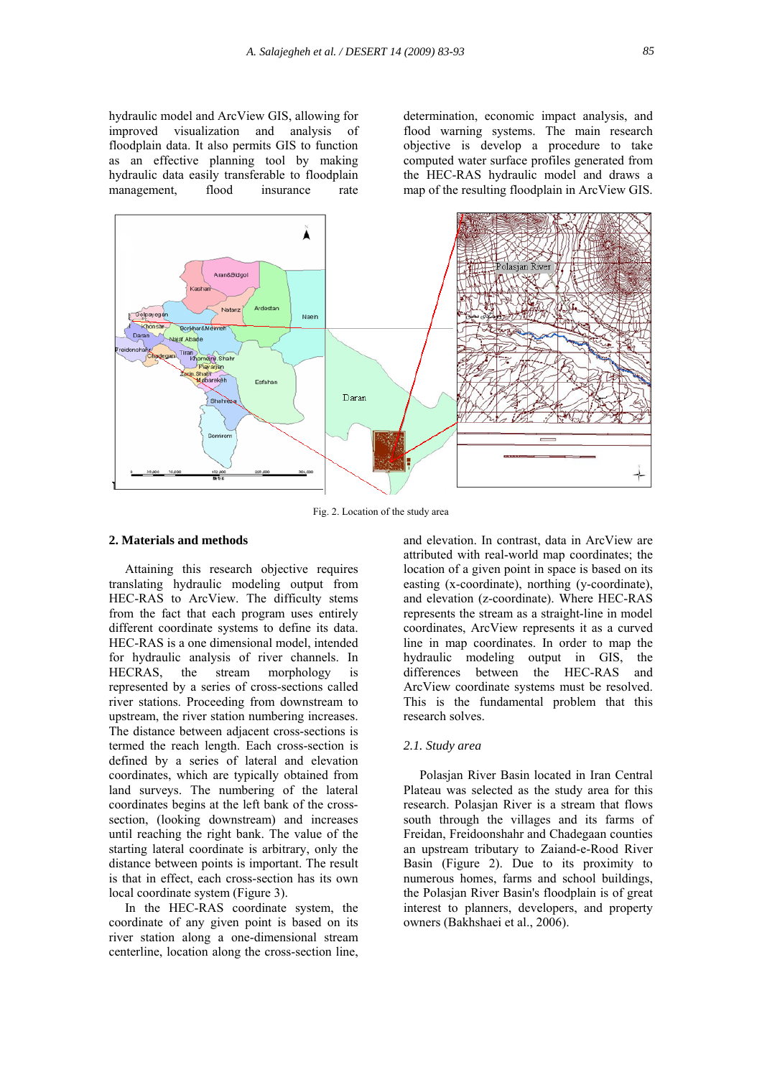hydraulic model and ArcView GIS, allowing for improved visualization and analysis of floodplain data. It also permits GIS to function as an effective planning tool by making hydraulic data easily transferable to floodplain management, flood insurance rate

determination, economic impact analysis, and flood warning systems. The main research objective is develop a procedure to take computed water surface profiles generated from the HEC-RAS hydraulic model and draws a map of the resulting floodplain in ArcView GIS.



Fig. 2. Location of the study area

#### **2. Materials and methods**

 Attaining this research objective requires translating hydraulic modeling output from HEC-RAS to ArcView. The difficulty stems from the fact that each program uses entirely different coordinate systems to define its data. HEC-RAS is a one dimensional model, intended for hydraulic analysis of river channels. In HECRAS, the stream morphology is represented by a series of cross-sections called river stations. Proceeding from downstream to upstream, the river station numbering increases. The distance between adjacent cross-sections is termed the reach length. Each cross-section is defined by a series of lateral and elevation coordinates, which are typically obtained from land surveys. The numbering of the lateral coordinates begins at the left bank of the crosssection, (looking downstream) and increases until reaching the right bank. The value of the starting lateral coordinate is arbitrary, only the distance between points is important. The result is that in effect, each cross-section has its own local coordinate system (Figure 3).

 In the HEC-RAS coordinate system, the coordinate of any given point is based on its river station along a one-dimensional stream centerline, location along the cross-section line,

and elevation. In contrast, data in ArcView are attributed with real-world map coordinates; the location of a given point in space is based on its easting (x-coordinate), northing (y-coordinate), and elevation (z-coordinate). Where HEC-RAS represents the stream as a straight-line in model coordinates, ArcView represents it as a curved line in map coordinates. In order to map the hydraulic modeling output in GIS, the differences between the HEC-RAS and ArcView coordinate systems must be resolved. This is the fundamental problem that this research solves.

# *2.1. Study area*

 Polasjan River Basin located in Iran Central Plateau was selected as the study area for this research. Polasjan River is a stream that flows south through the villages and its farms of Freidan, Freidoonshahr and Chadegaan counties an upstream tributary to Zaiand-e-Rood River Basin (Figure 2). Due to its proximity to numerous homes, farms and school buildings, the Polasjan River Basin's floodplain is of great interest to planners, developers, and property owners (Bakhshaei et al., 2006).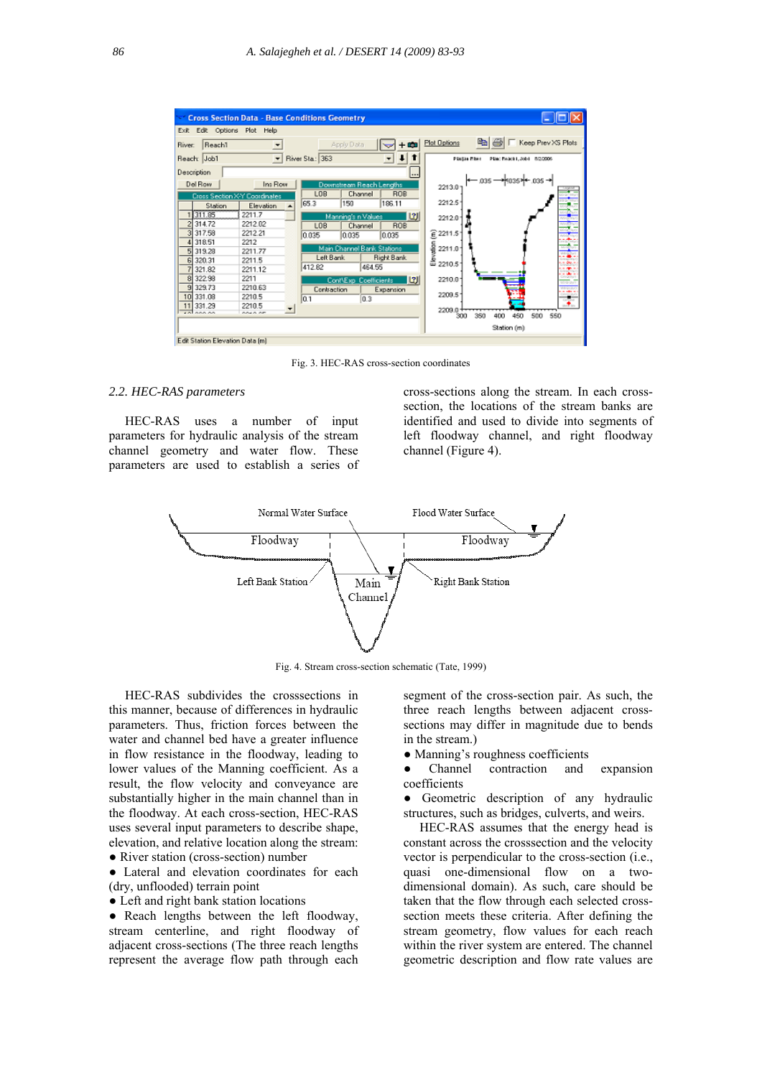

Fig. 3. HEC-RAS cross-section coordinates

#### *2.2. HEC-RAS parameters*

 HEC-RAS uses a number of input parameters for hydraulic analysis of the stream channel geometry and water flow. These parameters are used to establish a series of cross-sections along the stream. In each crosssection, the locations of the stream banks are identified and used to divide into segments of left floodway channel, and right floodway channel (Figure 4).



Fig. 4. Stream cross-section schematic (Tate, 1999)

 HEC-RAS subdivides the crosssections in this manner, because of differences in hydraulic parameters. Thus, friction forces between the water and channel bed have a greater influence in flow resistance in the floodway, leading to lower values of the Manning coefficient. As a result, the flow velocity and conveyance are substantially higher in the main channel than in the floodway. At each cross-section, HEC-RAS uses several input parameters to describe shape, elevation, and relative location along the stream:

• River station (cross-section) number

● Lateral and elevation coordinates for each (dry, unflooded) terrain point

● Left and right bank station locations

• Reach lengths between the left floodway, stream centerline, and right floodway of adjacent cross-sections (The three reach lengths represent the average flow path through each segment of the cross-section pair. As such, the three reach lengths between adjacent crosssections may differ in magnitude due to bends in the stream.)

• Manning's roughness coefficients

Channel contraction and expansion coefficients

• Geometric description of any hydraulic structures, such as bridges, culverts, and weirs.

 HEC-RAS assumes that the energy head is constant across the crosssection and the velocity vector is perpendicular to the cross-section (i.e., quasi one-dimensional flow on a twodimensional domain). As such, care should be taken that the flow through each selected crosssection meets these criteria. After defining the stream geometry, flow values for each reach within the river system are entered. The channel geometric description and flow rate values are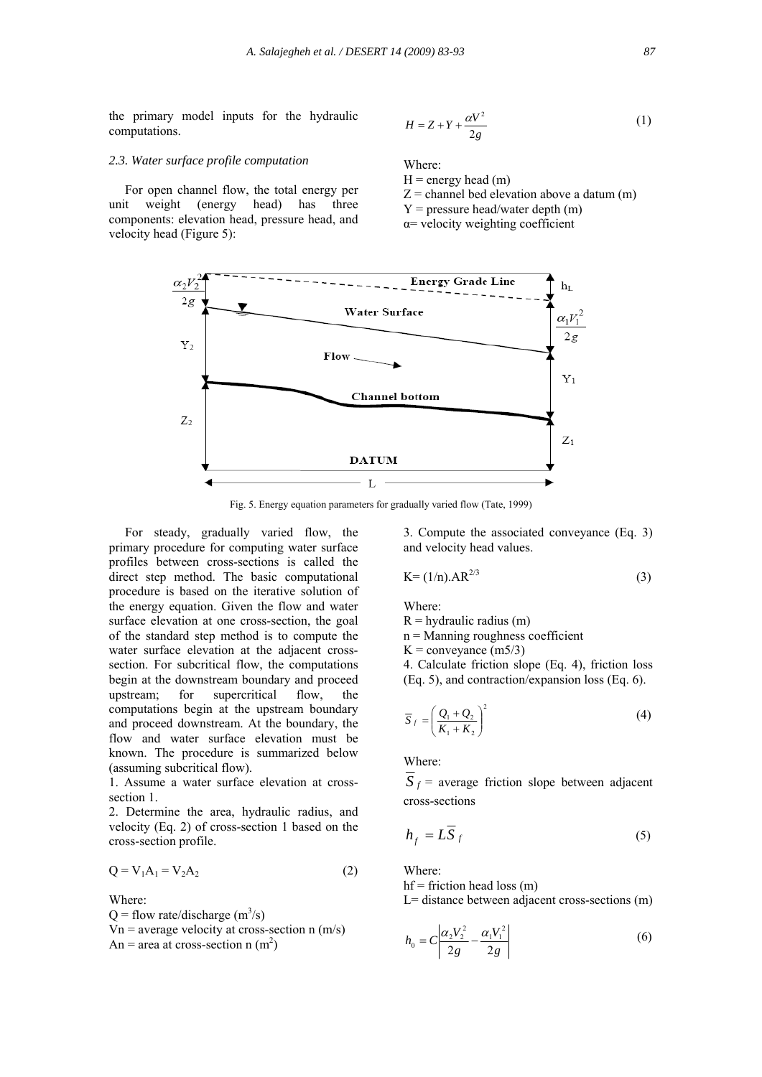the primary model inputs for the hydraulic computations.

$$
H = Z + Y + \frac{\alpha V^2}{2g} \tag{1}
$$

#### *2.3. Water surface profile computation*

 For open channel flow, the total energy per unit weight (energy head) has three components: elevation head, pressure head, and velocity head (Figure 5):

Where:

 $H =$  energy head  $(m)$ 

- $Z =$  channel bed elevation above a datum  $(m)$
- $Y = pressure$  head/water depth (m)
- α= velocity weighting coefficient



Fig. 5. Energy equation parameters for gradually varied flow (Tate, 1999)

 For steady, gradually varied flow, the primary procedure for computing water surface profiles between cross-sections is called the direct step method. The basic computational procedure is based on the iterative solution of the energy equation. Given the flow and water surface elevation at one cross-section, the goal of the standard step method is to compute the water surface elevation at the adjacent crosssection. For subcritical flow, the computations begin at the downstream boundary and proceed upstream; for supercritical flow, the computations begin at the upstream boundary and proceed downstream. At the boundary, the flow and water surface elevation must be known. The procedure is summarized below (assuming subcritical flow).

1. Assume a water surface elevation at crosssection 1.

2. Determine the area, hydraulic radius, and velocity (Eq. 2) of cross-section 1 based on the cross-section profile.

$$
Q = V_1 A_1 = V_2 A_2 \tag{2}
$$

Where:

 $Q =$  flow rate/discharge  $(m^3/s)$  $Vn$  = average velocity at cross-section n (m/s) An = area at cross-section n  $(m<sup>2</sup>)$ 

3. Compute the associated conveyance (Eq. 3) and velocity head values.

$$
K = (1/n).AR^{2/3}
$$
 (3)

Where:

 $R =$ hydraulic radius (m)

n = Manning roughness coefficient

 $K =$ conveyance (m5/3)

4. Calculate friction slope (Eq. 4), friction loss (Eq. 5), and contraction/expansion loss (Eq. 6).

$$
\overline{S}_f = \left(\frac{Q_1 + Q_2}{K_1 + K_2}\right)^2 \tag{4}
$$

Where:

 $\overline{S}_f$  = average friction slope between adjacent cross-sections

$$
h_f = L\overline{S}_f \tag{5}
$$

Where:

 $hf = friction head loss (m)$ 

L= distance between adjacent cross-sections (m)

$$
h_0 = C \left| \frac{\alpha_2 V_2^2}{2g} - \frac{\alpha_1 V_1^2}{2g} \right| \tag{6}
$$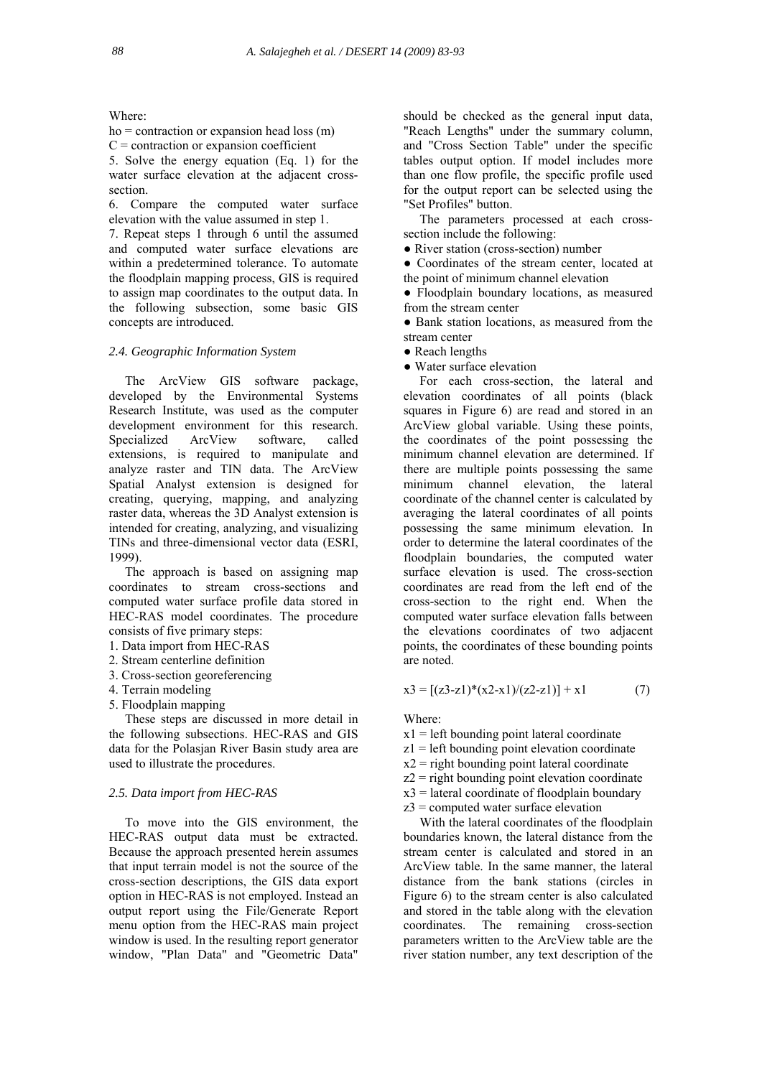Where:

 $ho =$  contraction or expansion head loss  $(m)$  $C =$  contraction or expansion coefficient

5. Solve the energy equation (Eq. 1) for the water surface elevation at the adjacent crosssection.

6. Compare the computed water surface elevation with the value assumed in step 1.

7. Repeat steps 1 through 6 until the assumed and computed water surface elevations are within a predetermined tolerance. To automate the floodplain mapping process, GIS is required to assign map coordinates to the output data. In the following subsection, some basic GIS concepts are introduced.

# *2.4. Geographic Information System*

 The ArcView GIS software package, developed by the Environmental Systems Research Institute, was used as the computer development environment for this research. Specialized ArcView software, called extensions, is required to manipulate and analyze raster and TIN data. The ArcView Spatial Analyst extension is designed for creating, querying, mapping, and analyzing raster data, whereas the 3D Analyst extension is intended for creating, analyzing, and visualizing TINs and three-dimensional vector data (ESRI, 1999).

 The approach is based on assigning map coordinates to stream cross-sections and computed water surface profile data stored in HEC-RAS model coordinates. The procedure consists of five primary steps:

- 1. Data import from HEC-RAS
- 2. Stream centerline definition
- 3. Cross-section georeferencing
- 4. Terrain modeling
- 5. Floodplain mapping

 These steps are discussed in more detail in the following subsections. HEC-RAS and GIS data for the Polasjan River Basin study area are used to illustrate the procedures.

# *2.5. Data import from HEC-RAS*

 To move into the GIS environment, the HEC-RAS output data must be extracted. Because the approach presented herein assumes that input terrain model is not the source of the cross-section descriptions, the GIS data export option in HEC-RAS is not employed. Instead an output report using the File/Generate Report menu option from the HEC-RAS main project window is used. In the resulting report generator window, "Plan Data" and "Geometric Data"

should be checked as the general input data, "Reach Lengths" under the summary column, and "Cross Section Table" under the specific tables output option. If model includes more than one flow profile, the specific profile used for the output report can be selected using the "Set Profiles" button.

 The parameters processed at each crosssection include the following:

• River station (cross-section) number

● Coordinates of the stream center, located at the point of minimum channel elevation

● Floodplain boundary locations, as measured from the stream center

• Bank station locations, as measured from the stream center

- Reach lengths
- Water surface elevation

 For each cross-section, the lateral and elevation coordinates of all points (black squares in Figure 6) are read and stored in an ArcView global variable. Using these points, the coordinates of the point possessing the minimum channel elevation are determined. If there are multiple points possessing the same minimum channel elevation, the lateral coordinate of the channel center is calculated by averaging the lateral coordinates of all points possessing the same minimum elevation. In order to determine the lateral coordinates of the floodplain boundaries, the computed water surface elevation is used. The cross-section coordinates are read from the left end of the cross-section to the right end. When the computed water surface elevation falls between the elevations coordinates of two adjacent points, the coordinates of these bounding points are noted.

$$
x3 = [(z3-z1)*(x2-x1)/(z2-z1)] + x1
$$
 (7)

Where:

 $x1 = left$  bounding point lateral coordinate

z1 = left bounding point elevation coordinate

 $x2$  = right bounding point lateral coordinate

 $z^2$  = right bounding point elevation coordinate

 $x3$  = lateral coordinate of floodplain boundary

 $z3$  = computed water surface elevation

 With the lateral coordinates of the floodplain boundaries known, the lateral distance from the stream center is calculated and stored in an ArcView table. In the same manner, the lateral distance from the bank stations (circles in Figure 6) to the stream center is also calculated and stored in the table along with the elevation coordinates. The remaining cross-section parameters written to the ArcView table are the river station number, any text description of the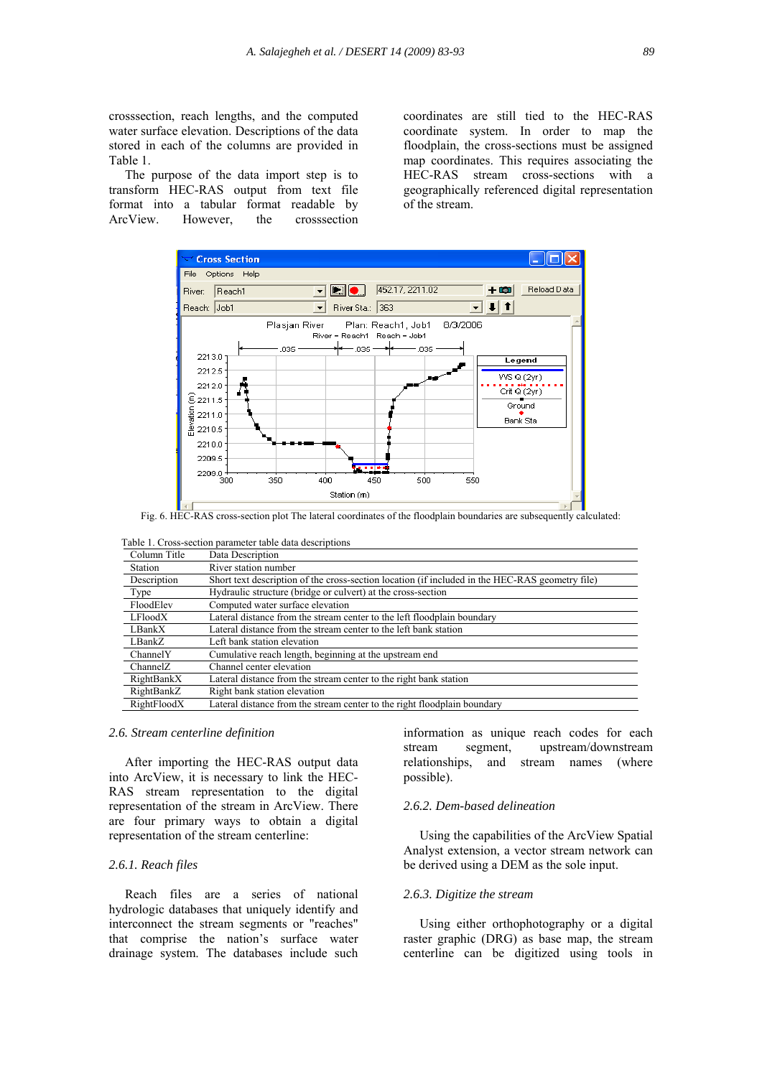crosssection, reach lengths, and the computed water surface elevation. Descriptions of the data stored in each of the columns are provided in Table 1.

 The purpose of the data import step is to transform HEC-RAS output from text file format into a tabular format readable by ArcView. However, the crosssection

coordinates are still tied to the HEC-RAS coordinate system. In order to map the floodplain, the cross-sections must be assigned map coordinates. This requires associating the HEC-RAS stream cross-sections with a geographically referenced digital representation of the stream.



Fig. 6. HEC-RAS cross-section plot The lateral coordinates of the floodplain boundaries are subsequently calculated:

Table 1. Cross-section parameter table data descriptions

| Column Title   | Data Description                                                                                |
|----------------|-------------------------------------------------------------------------------------------------|
| <b>Station</b> | River station number                                                                            |
| Description    | Short text description of the cross-section location (if included in the HEC-RAS geometry file) |
| Type           | Hydraulic structure (bridge or culvert) at the cross-section                                    |
| FloodElev      | Computed water surface elevation                                                                |
| LFloodX        | Lateral distance from the stream center to the left floodplain boundary                         |
| LBankX         | Lateral distance from the stream center to the left bank station                                |
| LBankZ         | Left bank station elevation                                                                     |
| ChannelY       | Cumulative reach length, beginning at the upstream end                                          |
| ChannelZ       | Channel center elevation                                                                        |
| RightBankX     | Lateral distance from the stream center to the right bank station                               |
| RightBankZ     | Right bank station elevation                                                                    |
| RightFloodX    | Lateral distance from the stream center to the right floodplain boundary                        |

# *2.6. Stream centerline definition*

 After importing the HEC-RAS output data into ArcView, it is necessary to link the HEC-RAS stream representation to the digital representation of the stream in ArcView. There are four primary ways to obtain a digital representation of the stream centerline:

#### *2.6.1. Reach files*

 Reach files are a series of national hydrologic databases that uniquely identify and interconnect the stream segments or "reaches" that comprise the nation's surface water drainage system. The databases include such

information as unique reach codes for each stream segment, upstream/downstream relationships, and stream names (where possible).

# *2.6.2. Dem-based delineation*

 Using the capabilities of the ArcView Spatial Analyst extension, a vector stream network can be derived using a DEM as the sole input.

# *2.6.3. Digitize the stream*

 Using either orthophotography or a digital raster graphic (DRG) as base map, the stream centerline can be digitized using tools in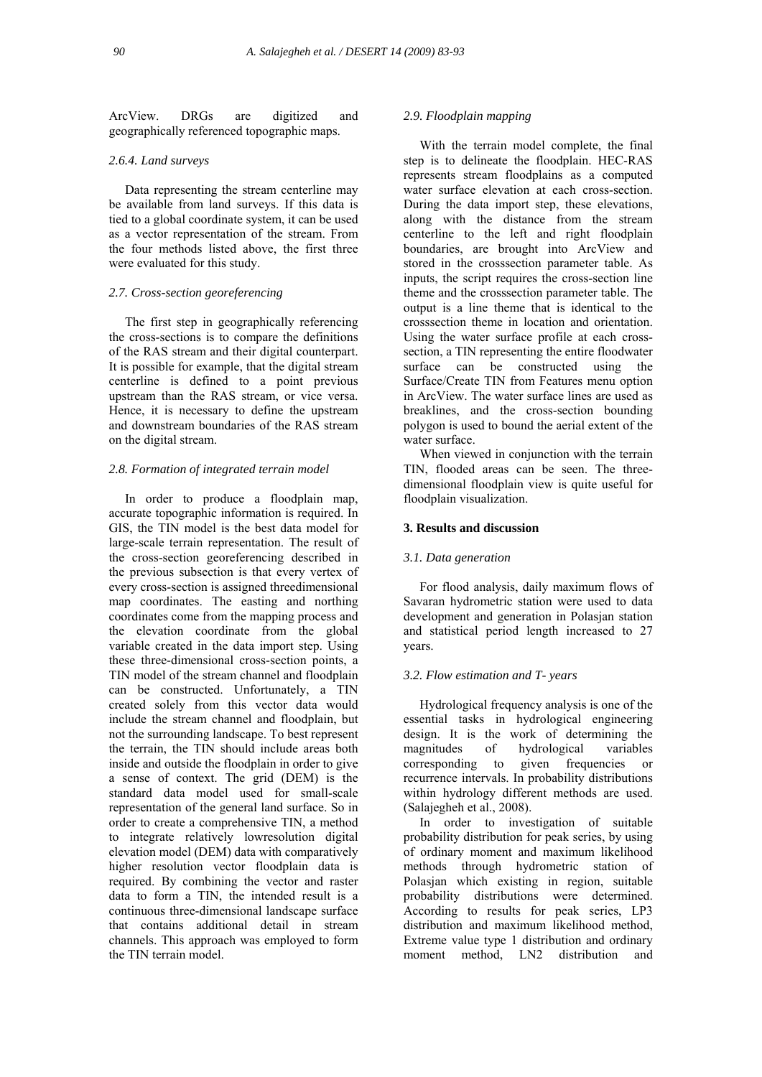ArcView. DRGs are digitized and geographically referenced topographic maps.

# *2.6.4. Land surveys*

 Data representing the stream centerline may be available from land surveys. If this data is tied to a global coordinate system, it can be used as a vector representation of the stream. From the four methods listed above, the first three were evaluated for this study.

# *2.7. Cross-section georeferencing*

 The first step in geographically referencing the cross-sections is to compare the definitions of the RAS stream and their digital counterpart. It is possible for example, that the digital stream centerline is defined to a point previous upstream than the RAS stream, or vice versa. Hence, it is necessary to define the upstream and downstream boundaries of the RAS stream on the digital stream.

#### *2.8. Formation of integrated terrain model*

 In order to produce a floodplain map, accurate topographic information is required. In GIS, the TIN model is the best data model for large-scale terrain representation. The result of the cross-section georeferencing described in the previous subsection is that every vertex of every cross-section is assigned threedimensional map coordinates. The easting and northing coordinates come from the mapping process and the elevation coordinate from the global variable created in the data import step. Using these three-dimensional cross-section points, a TIN model of the stream channel and floodplain can be constructed. Unfortunately, a TIN created solely from this vector data would include the stream channel and floodplain, but not the surrounding landscape. To best represent the terrain, the TIN should include areas both inside and outside the floodplain in order to give a sense of context. The grid (DEM) is the standard data model used for small-scale representation of the general land surface. So in order to create a comprehensive TIN, a method to integrate relatively lowresolution digital elevation model (DEM) data with comparatively higher resolution vector floodplain data is required. By combining the vector and raster data to form a TIN, the intended result is a continuous three-dimensional landscape surface that contains additional detail in stream channels. This approach was employed to form the TIN terrain model.

# *2.9. Floodplain mapping*

 With the terrain model complete, the final step is to delineate the floodplain. HEC-RAS represents stream floodplains as a computed water surface elevation at each cross-section. During the data import step, these elevations, along with the distance from the stream centerline to the left and right floodplain boundaries, are brought into ArcView and stored in the crosssection parameter table. As inputs, the script requires the cross-section line theme and the crosssection parameter table. The output is a line theme that is identical to the crosssection theme in location and orientation. Using the water surface profile at each crosssection, a TIN representing the entire floodwater surface can be constructed using the Surface/Create TIN from Features menu option in ArcView. The water surface lines are used as breaklines, and the cross-section bounding polygon is used to bound the aerial extent of the water surface.

When viewed in conjunction with the terrain TIN, flooded areas can be seen. The threedimensional floodplain view is quite useful for floodplain visualization.

# **3. Results and discussion**

# *3.1. Data generation*

 For flood analysis, daily maximum flows of Savaran hydrometric station were used to data development and generation in Polasjan station and statistical period length increased to 27 years.

# *3.2. Flow estimation and T- years*

 Hydrological frequency analysis is one of the essential tasks in hydrological engineering design. It is the work of determining the magnitudes of hydrological variables corresponding to given frequencies or recurrence intervals. In probability distributions within hydrology different methods are used. (Salajegheh et al., 2008).

 In order to investigation of suitable probability distribution for peak series, by using of ordinary moment and maximum likelihood methods through hydrometric station of Polasjan which existing in region, suitable probability distributions were determined. According to results for peak series, LP3 distribution and maximum likelihood method, Extreme value type 1 distribution and ordinary moment method, LN2 distribution and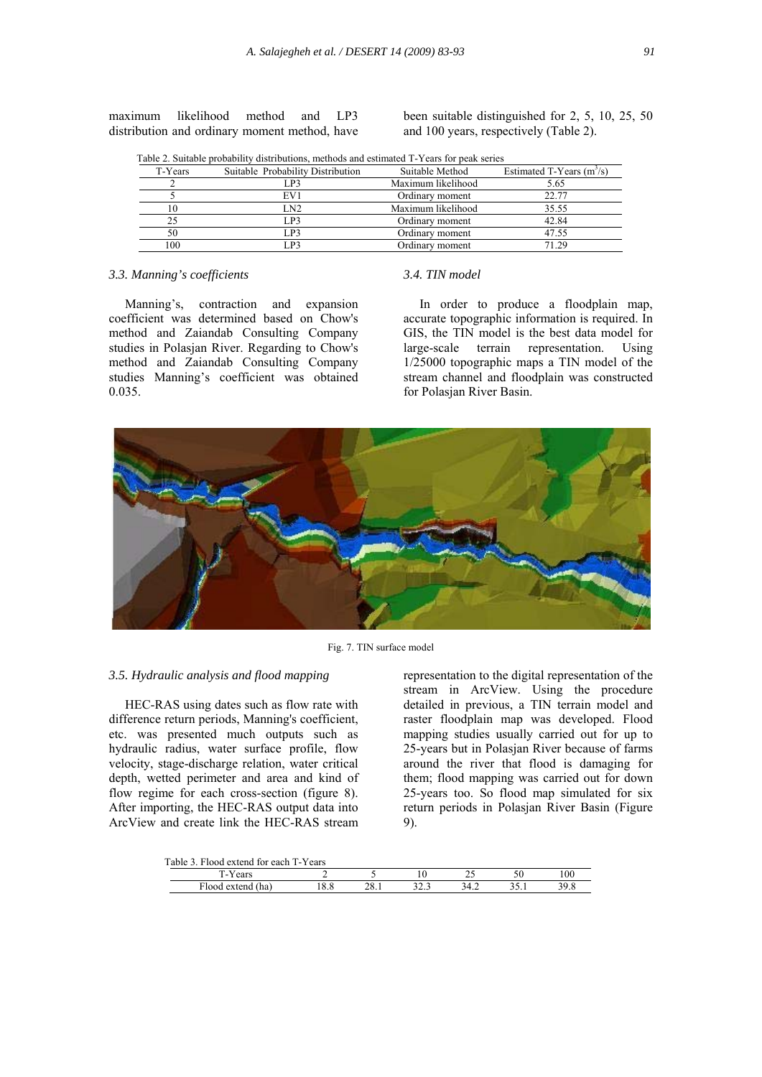maximum likelihood method and LP3 distribution and ordinary moment method, have been suitable distinguished for 2, 5, 10, 25, 50 and 100 years, respectively (Table 2).

|  |  | Table 2. Suitable probability distributions, methods and estimated T-Years for peak series |
|--|--|--------------------------------------------------------------------------------------------|
|  |  |                                                                                            |

| T-Years | Suitable Probability Distribution | Suitable Method    | Estimated T-Years $(m3/s)$ |
|---------|-----------------------------------|--------------------|----------------------------|
|         | ∟P3                               | Maximum likelihood | 5.65                       |
|         | EV1                               | Ordinary moment    | 22.77                      |
| 10      | LN2                               | Maximum likelihood | 35.55                      |
| 25      | LP3                               | Ordinary moment    | 42.84                      |
| 50      | LP3                               | Ordinary moment    | 47.55                      |
| 100     | P <sub>3</sub>                    | Ordinary moment    | 71.29                      |

# *3.3. Manning's coefficients*

 Manning's, contraction and expansion coefficient was determined based on Chow's method and Zaiandab Consulting Company studies in Polasjan River. Regarding to Chow's method and Zaiandab Consulting Company studies Manning's coefficient was obtained 0.035.

# *3.4. TIN model*

 In order to produce a floodplain map, accurate topographic information is required. In GIS, the TIN model is the best data model for large-scale terrain representation. Using 1/25000 topographic maps a TIN model of the stream channel and floodplain was constructed for Polasjan River Basin.



Fig. 7. TIN surface model

#### *3.5. Hydraulic analysis and flood mapping*

 HEC-RAS using dates such as flow rate with difference return periods, Manning's coefficient, etc. was presented much outputs such as hydraulic radius, water surface profile, flow velocity, stage-discharge relation, water critical depth, wetted perimeter and area and kind of flow regime for each cross-section (figure 8). After importing, the HEC-RAS output data into ArcView and create link the HEC-RAS stream representation to the digital representation of the stream in ArcView. Using the procedure detailed in previous, a TIN terrain model and raster floodplain map was developed. Flood mapping studies usually carried out for up to 25-years but in Polasjan River because of farms around the river that flood is damaging for them; flood mapping was carried out for down 25-years too. So flood map simulated for six return periods in Polasjan River Basin (Figure 9).

Table 3. Flood extend for each T-Years

| ibic 9. i 1000 catello ibi caell 1-1 cais |  |             |  |     |         |     |  |
|-------------------------------------------|--|-------------|--|-----|---------|-----|--|
| Y ears<br>. .                             |  |             |  | رے  |         | 100 |  |
| (ha)<br>∴lood extend                      |  | AO.<br>40.1 |  | т.∠ | ، ز. ر. |     |  |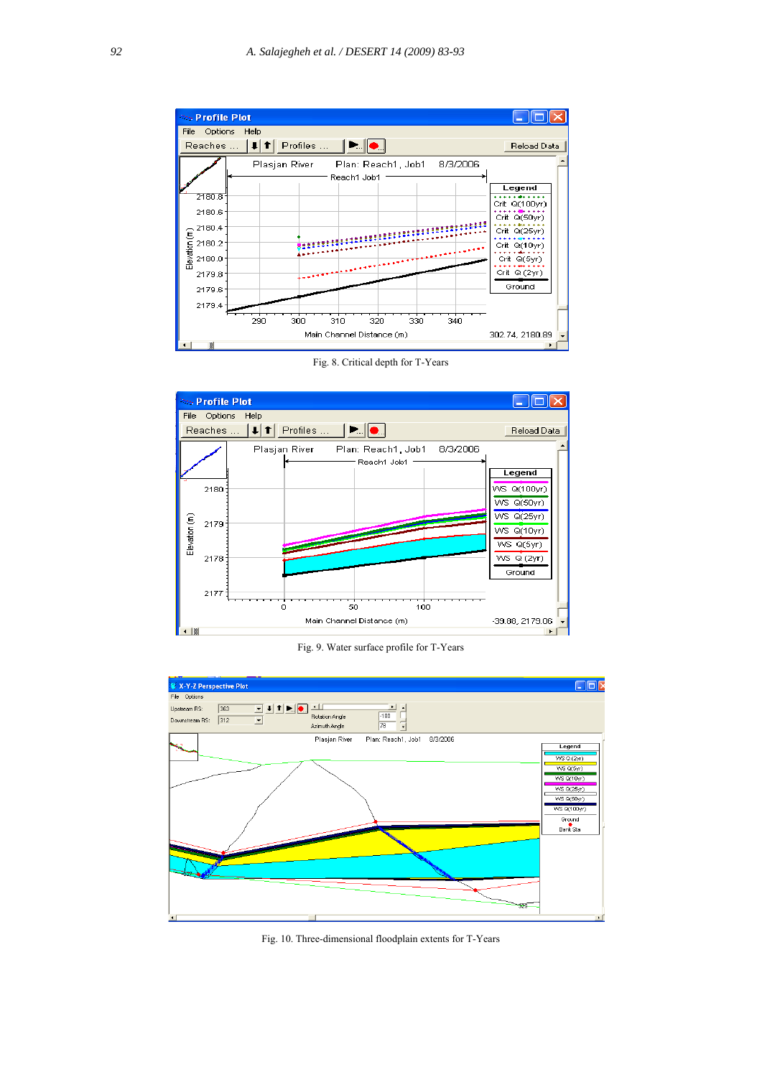

Fig. 8. Critical depth for T-Years



Fig. 9. Water surface profile for T-Years



Fig. 10. Three-dimensional floodplain extents for T-Years